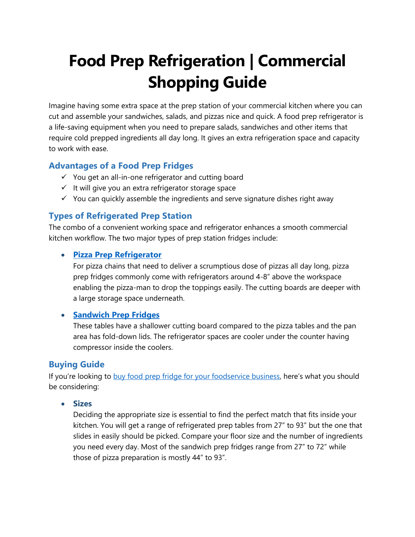# **Food Prep Refrigeration | Commercial Shopping Guide**

Imagine having some extra space at the prep station of your commercial kitchen where you can cut and assemble your sandwiches, salads, and pizzas nice and quick. A food prep refrigerator is a life-saving equipment when you need to prepare salads, sandwiches and other items that require cold prepped ingredients all day long. It gives an extra refrigeration space and capacity to work with ease.

# **Advantages of a Food Prep Fridges**

- ✓ You get an all-in-one refrigerator and cutting board
- $\checkmark$  It will give you an extra refrigerator storage space
- $\checkmark$  You can quickly assemble the ingredients and serve signature dishes right away

# **Types of Refrigerated Prep Station**

The combo of a convenient working space and refrigerator enhances a smooth commercial kitchen workflow. The two major types of prep station fridges include:

## • **[Pizza Prep Refrigerator](https://www.alphacateringequipment.com.au/f.e.d.-tpp67-tropicalised-two-door-pizza-prep-fridge)**

For pizza chains that need to deliver a scrumptious dose of pizzas all day long, pizza prep fridges commonly come with refrigerators around 4-8" above the workspace enabling the pizza-man to drop the toppings easily. The cutting boards are deeper with a large storage space underneath.

## • **[Sandwich Prep Fridges](https://www.alphacateringequipment.com.au/skope-bc180-s-3rrrs-e-centaur-series-three-door-sandwich-prep-fridge-1800mm)**

These tables have a shallower cutting board compared to the pizza tables and the pan area has fold-down lids. The refrigerator spaces are cooler under the counter having compressor inside the coolers.

# **Buying Guide**

If you're looking to [buy food prep fridge for your foodservice business](https://www.alphacateringequipment.com.au/refrigeration/sandwich-prep-fridges/food-prep-fridges), here's what you should be considering:

• **Sizes**

Deciding the appropriate size is essential to find the perfect match that fits inside your kitchen. You will get a range of refrigerated prep tables from 27" to 93" but the one that slides in easily should be picked. Compare your floor size and the number of ingredients you need every day. Most of the sandwich prep fridges range from 27" to 72" while those of pizza preparation is mostly 44" to 93".